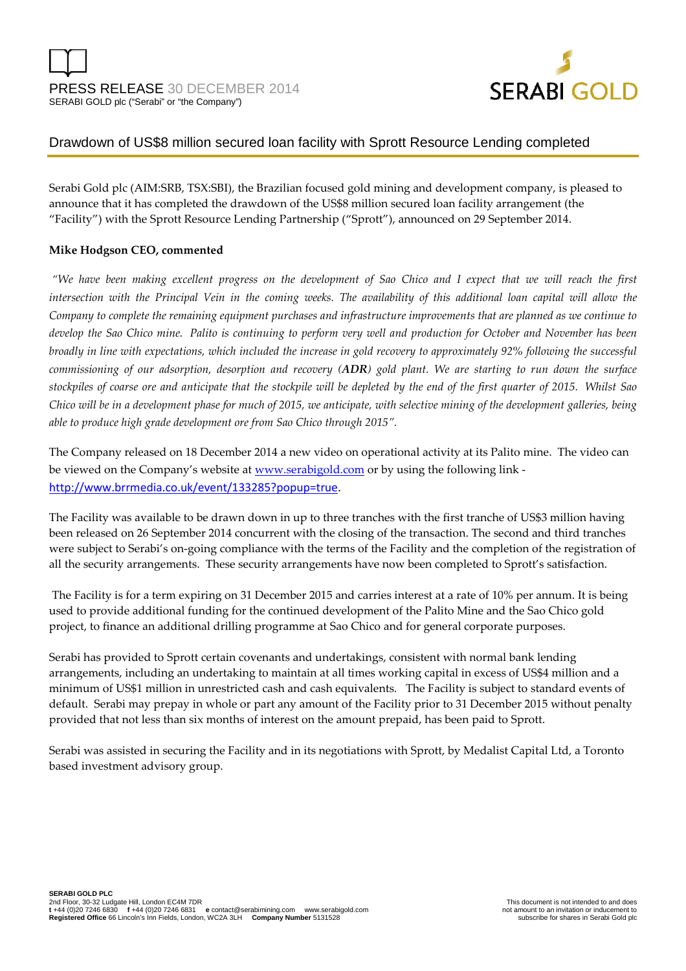

# Drawdown of US\$8 million secured loan facility with Sprott Resource Lending completed

Serabi Gold plc (AIM:SRB, TSX:SBI), the Brazilian focused gold mining and development company, is pleased to announce that it has completed the drawdown of the US\$8 million secured loan facility arrangement (the "Facility") with the Sprott Resource Lending Partnership ("Sprott"), announced on 29 September 2014.

## **Mike Hodgson CEO, commented**

 *"We have been making excellent progress on the development of Sao Chico and I expect that we will reach the first intersection with the Principal Vein in the coming weeks. The availability of this additional loan capital will allow the Company to complete the remaining equipment purchases and infrastructure improvements that are planned as we continue to develop the Sao Chico mine. Palito is continuing to perform very well and production for October and November has been broadly in line with expectations, which included the increase in gold recovery to approximately 92% following the successful commissioning of our adsorption, desorption and recovery (ADR) gold plant. We are starting to run down the surface stockpiles of coarse ore and anticipate that the stockpile will be depleted by the end of the first quarter of 2015. Whilst Sao Chico will be in a development phase for much of 2015, we anticipate, with selective mining of the development galleries, being able to produce high grade development ore from Sao Chico through 2015".* 

The Company released on 18 December 2014 a new video on operational activity at its Palito mine. The video can be viewed on the Company's website at **www.serabigold.com** or by using the following link http://www.brrmedia.co.uk/event/133285?popup=true.

The Facility was available to be drawn down in up to three tranches with the first tranche of US\$3 million having been released on 26 September 2014 concurrent with the closing of the transaction. The second and third tranches were subject to Serabi's on-going compliance with the terms of the Facility and the completion of the registration of all the security arrangements. These security arrangements have now been completed to Sprott's satisfaction.

 The Facility is for a term expiring on 31 December 2015 and carries interest at a rate of 10% per annum. It is being used to provide additional funding for the continued development of the Palito Mine and the Sao Chico gold project, to finance an additional drilling programme at Sao Chico and for general corporate purposes.

Serabi has provided to Sprott certain covenants and undertakings, consistent with normal bank lending arrangements, including an undertaking to maintain at all times working capital in excess of US\$4 million and a minimum of US\$1 million in unrestricted cash and cash equivalents. The Facility is subject to standard events of default. Serabi may prepay in whole or part any amount of the Facility prior to 31 December 2015 without penalty provided that not less than six months of interest on the amount prepaid, has been paid to Sprott.

Serabi was assisted in securing the Facility and in its negotiations with Sprott, by Medalist Capital Ltd, a Toronto based investment advisory group.